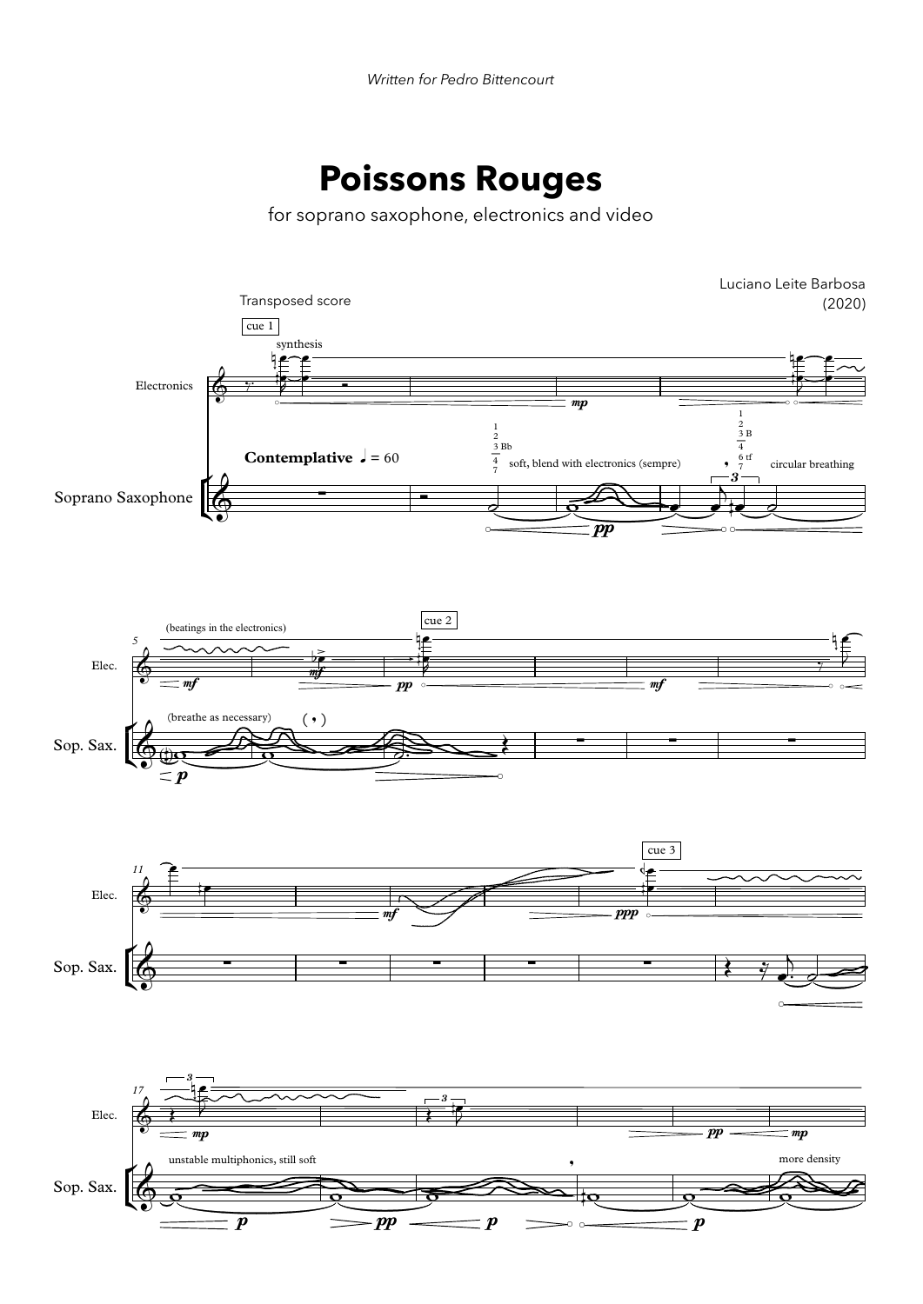## **Poissons Rouges**

for soprano saxophone, electronics and video